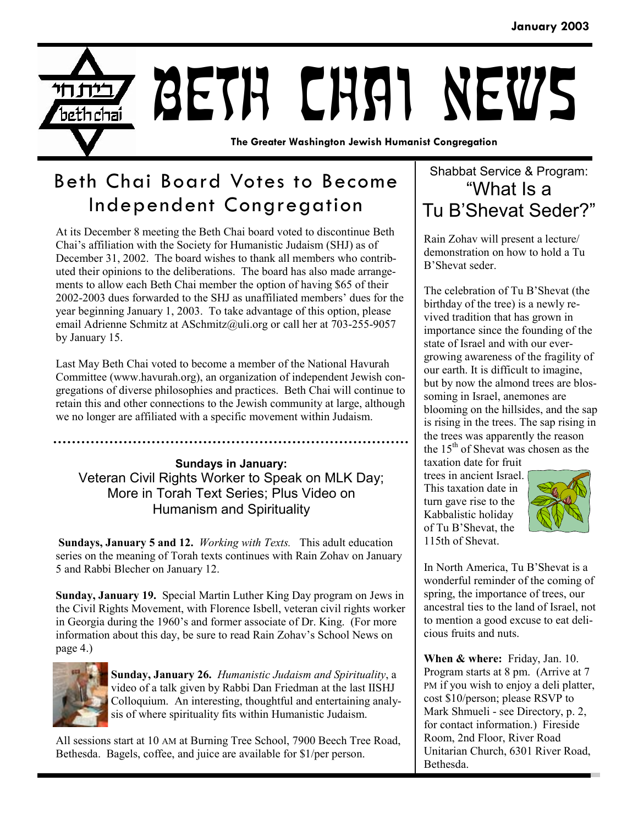

## Beth Chai Board Votes to Become Independent Congregation

At its December 8 meeting the Beth Chai board voted to discontinue Beth Chai's affiliation with the Society for Humanistic Judaism (SHJ) as of December 31, 2002. The board wishes to thank all members who contributed their opinions to the deliberations. The board has also made arrangements to allow each Beth Chai member the option of having \$65 of their 2002-2003 dues forwarded to the SHJ as unaffiliated members' dues for the year beginning January 1, 2003. To take advantage of this option, please email Adrienne Schmitz at ASchmitz@uli.org or call her at 703-255-9057 by January 15.

Last May Beth Chai voted to become a member of the National Havurah Committee (www.havurah.org), an organization of independent Jewish congregations of diverse philosophies and practices. Beth Chai will continue to retain this and other connections to the Jewish community at large, although we no longer are affiliated with a specific movement within Judaism.

**Sundays in January:** Veteran Civil Rights Worker to Speak on MLK Day; More in Torah Text Series; Plus Video on Humanism and Spirituality

**Sundays, January 5 and 12.** *Working with Texts.* This adult education series on the meaning of Torah texts continues with Rain Zohav on January 5 and Rabbi Blecher on January 12.

**Sunday, January 19.** Special Martin Luther King Day program on Jews in the Civil Rights Movement, with Florence Isbell, veteran civil rights worker in Georgia during the 1960's and former associate of Dr. King. (For more information about this day, be sure to read Rain Zohav's School News on page 4.)



**Sunday, January 26.** *Humanistic Judaism and Spirituality*, a video of a talk given by Rabbi Dan Friedman at the last IISHJ Colloquium. An interesting, thoughtful and entertaining analysis of where spirituality fits within Humanistic Judaism.

All sessions start at 10 AM at Burning Tree School, 7900 Beech Tree Road, Bethesda. Bagels, coffee, and juice are available for \$1/per person.

### Shabbat Service & Program: "What Is a Tu B'Shevat Seder?"

Rain Zohav will present a lecture/ demonstration on how to hold a Tu B'Shevat seder.

The celebration of Tu B'Shevat (the birthday of the tree) is a newly revived tradition that has grown in importance since the founding of the state of Israel and with our evergrowing awareness of the fragility of our earth. It is difficult to imagine, but by now the almond trees are blossoming in Israel, anemones are blooming on the hillsides, and the sap is rising in the trees. The sap rising in the trees was apparently the reason the  $15<sup>th</sup>$  of Shevat was chosen as the taxation date for fruit

trees in ancient Israel. This taxation date in turn gave rise to the Kabbalistic holiday of Tu B'Shevat, the 115th of Shevat.



In North America, Tu B'Shevat is a wonderful reminder of the coming of spring, the importance of trees, our ancestral ties to the land of Israel, not to mention a good excuse to eat delicious fruits and nuts.

**When & where:** Friday, Jan. 10. Program starts at 8 pm. (Arrive at 7 PM if you wish to enjoy a deli platter, cost \$10/person; please RSVP to Mark Shmueli - see Directory, p. 2, for contact information.) Fireside Room, 2nd Floor, River Road Unitarian Church, 6301 River Road, Bethesda.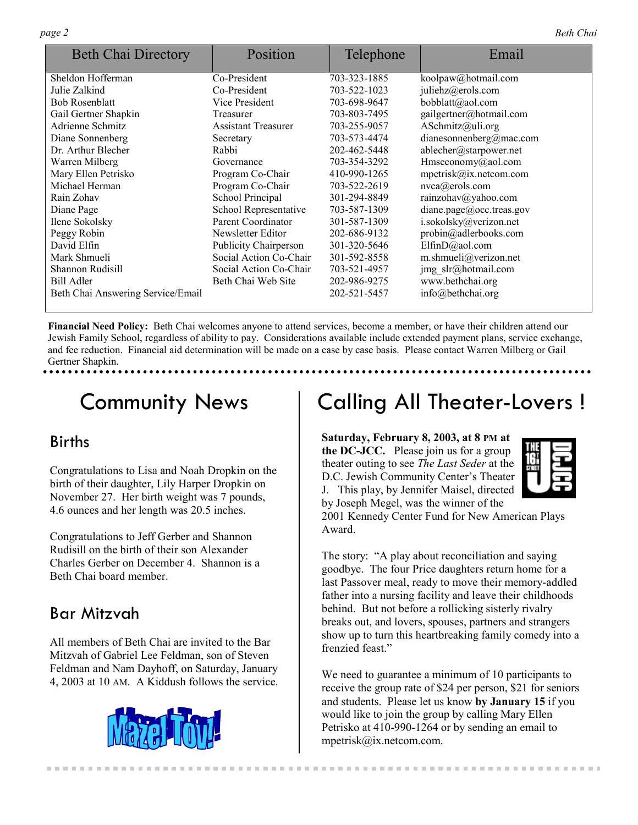| <b>Beth Chai Directory</b>        | Position                     | Telephone    | Email                    |
|-----------------------------------|------------------------------|--------------|--------------------------|
| Sheldon Hofferman                 | Co-President                 | 703-323-1885 | koolpaw@hotmail.com      |
| Julie Zalkind                     | Co-President                 | 703-522-1023 | juliehz@erols.com        |
| <b>Bob Rosenblatt</b>             | Vice President               | 703-698-9647 | bobblatt@aol.com         |
| Gail Gertner Shapkin              | Treasurer                    | 703-803-7495 | gailgertner@hotmail.com  |
| Adrienne Schmitz                  | <b>Assistant Treasurer</b>   | 703-255-9057 | ASchmitz@uli.org         |
| Diane Sonnenberg                  | Secretary                    | 703-573-4474 | dianesonnenberg@mac.com  |
| Dr. Arthur Blecher                | Rabbi                        | 202-462-5448 | ablecher@starpower.net   |
| Warren Milberg                    | Governance                   | 703-354-3292 | Hmseconomy@aol.com       |
| Mary Ellen Petrisko               | Program Co-Chair             | 410-990-1265 | mpetrisk@ix.netcom.com   |
| Michael Herman                    | Program Co-Chair             | 703-522-2619 | nvca@erols.com           |
| Rain Zohav                        | School Principal             | 301-294-8849 | rainzohav@yahoo.com      |
| Diane Page                        | School Representative        | 703-587-1309 | diane.page@occ.treas.gov |
| Ilene Sokolsky                    | Parent Coordinator           | 301-587-1309 | i.sokolsky@verizon.net   |
| Peggy Robin                       | Newsletter Editor            | 202-686-9132 | probin@adlerbooks.com    |
| David Elfin                       | <b>Publicity Chairperson</b> | 301-320-5646 | ElfinD@aol.com           |
| Mark Shmueli                      | Social Action Co-Chair       | 301-592-8558 | m.shmueli@verizon.net    |
| <b>Shannon Rudisill</b>           | Social Action Co-Chair       | 703-521-4957 | jmg slr@hotmail.com      |
| Bill Adler                        | Beth Chai Web Site           | 202-986-9275 | www.bethchai.org         |
| Beth Chai Answering Service/Email |                              | 202-521-5457 | info@bethchai.org        |

**Financial Need Policy:** Beth Chai welcomes anyone to attend services, become a member, or have their children attend our Jewish Family School, regardless of ability to pay. Considerations available include extended payment plans, service exchange, and fee reduction. Financial aid determination will be made on a case by case basis. Please contact Warren Milberg or Gail Gertner Shapkin.

# Community News

### Births

Congratulations to Lisa and Noah Dropkin on the birth of their daughter, Lily Harper Dropkin on November 27. Her birth weight was 7 pounds, 4.6 ounces and her length was 20.5 inches.

Congratulations to Jeff Gerber and Shannon Rudisill on the birth of their son Alexander Charles Gerber on December 4. Shannon is a Beth Chai board member.

### Bar Mitzvah

All members of Beth Chai are invited to the Bar Mitzvah of Gabriel Lee Feldman, son of Steven Feldman and Nam Dayhoff, on Saturday, January 4, 2003 at 10 AM. A Kiddush follows the service.



# Calling All Theater-Lovers !

**Saturday, February 8, 2003, at 8 PM at the DC-JCC.** Please join us for a group theater outing to see *The Last Seder* at the D.C. Jewish Community Center's Theater J. This play, by Jennifer Maisel, directed by Joseph Megel, was the winner of the



2001 Kennedy Center Fund for New American Plays Award.

The story: "A play about reconciliation and saying goodbye. The four Price daughters return home for a last Passover meal, ready to move their memory-addled father into a nursing facility and leave their childhoods behind. But not before a rollicking sisterly rivalry breaks out, and lovers, spouses, partners and strangers show up to turn this heartbreaking family comedy into a frenzied feast."

We need to guarantee a minimum of 10 participants to receive the group rate of \$24 per person, \$21 for seniors and students. Please let us know **by January 15** if you would like to join the group by calling Mary Ellen Petrisko at 410-990-1264 or by sending an email to mpetrisk@ix.netcom.com.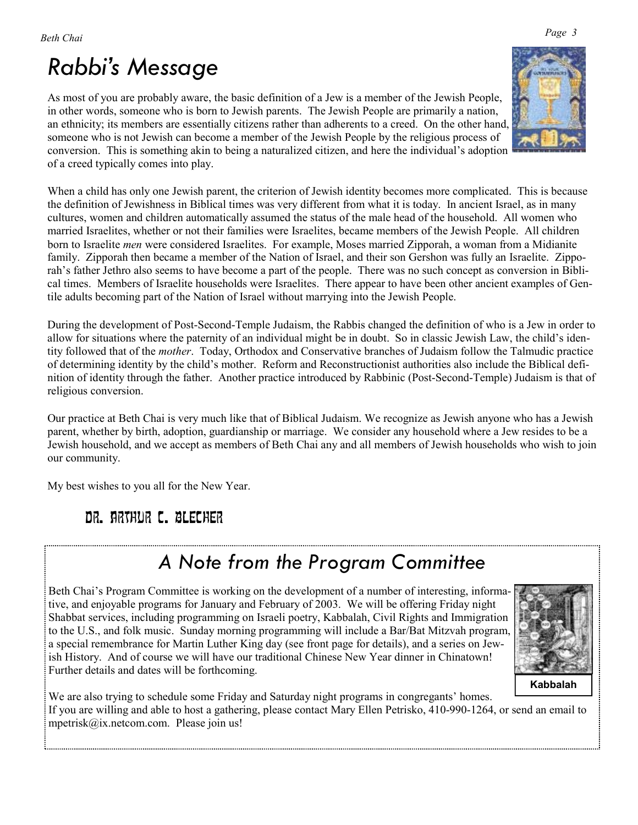# *Rabbi's Message*

As most of you are probably aware, the basic definition of a Jew is a member of the Jewish People, in other words, someone who is born to Jewish parents. The Jewish People are primarily a nation, an ethnicity; its members are essentially citizens rather than adherents to a creed. On the other hand, someone who is not Jewish can become a member of the Jewish People by the religious process of conversion. This is something akin to being a naturalized citizen, and here the individual's adoption of a creed typically comes into play.



When a child has only one Jewish parent, the criterion of Jewish identity becomes more complicated. This is because the definition of Jewishness in Biblical times was very different from what it is today. In ancient Israel, as in many cultures, women and children automatically assumed the status of the male head of the household. All women who married Israelites, whether or not their families were Israelites, became members of the Jewish People. All children born to Israelite *men* were considered Israelites. For example, Moses married Zipporah, a woman from a Midianite family. Zipporah then became a member of the Nation of Israel, and their son Gershon was fully an Israelite. Zipporah's father Jethro also seems to have become a part of the people. There was no such concept as conversion in Biblical times. Members of Israelite households were Israelites. There appear to have been other ancient examples of Gentile adults becoming part of the Nation of Israel without marrying into the Jewish People.

During the development of Post-Second-Temple Judaism, the Rabbis changed the definition of who is a Jew in order to allow for situations where the paternity of an individual might be in doubt. So in classic Jewish Law, the child's identity followed that of the *mother*. Today, Orthodox and Conservative branches of Judaism follow the Talmudic practice of determining identity by the child's mother. Reform and Reconstructionist authorities also include the Biblical definition of identity through the father. Another practice introduced by Rabbinic (Post-Second-Temple) Judaism is that of religious conversion.

Our practice at Beth Chai is very much like that of Biblical Judaism. We recognize as Jewish anyone who has a Jewish parent, whether by birth, adoption, guardianship or marriage. We consider any household where a Jew resides to be a Jewish household, and we accept as members of Beth Chai any and all members of Jewish households who wish to join our community.

My best wishes to you all for the New Year.

### Dr. Arthur C. Blecher

# *A Note from the Program Committee*

Beth Chai's Program Committee is working on the development of a number of interesting, informative, and enjoyable programs for January and February of 2003. We will be offering Friday night Shabbat services, including programming on Israeli poetry, Kabbalah, Civil Rights and Immigration to the U.S., and folk music. Sunday morning programming will include a Bar/Bat Mitzvah program, a special remembrance for Martin Luther King day (see front page for details), and a series on Jewish History. And of course we will have our traditional Chinese New Year dinner in Chinatown! Further details and dates will be forthcoming.



We are also trying to schedule some Friday and Saturday night programs in congregants' homes. If you are willing and able to host a gathering, please contact Mary Ellen Petrisko, 410-990-1264, or send an email to mpetrisk@ix.netcom.com. Please join us!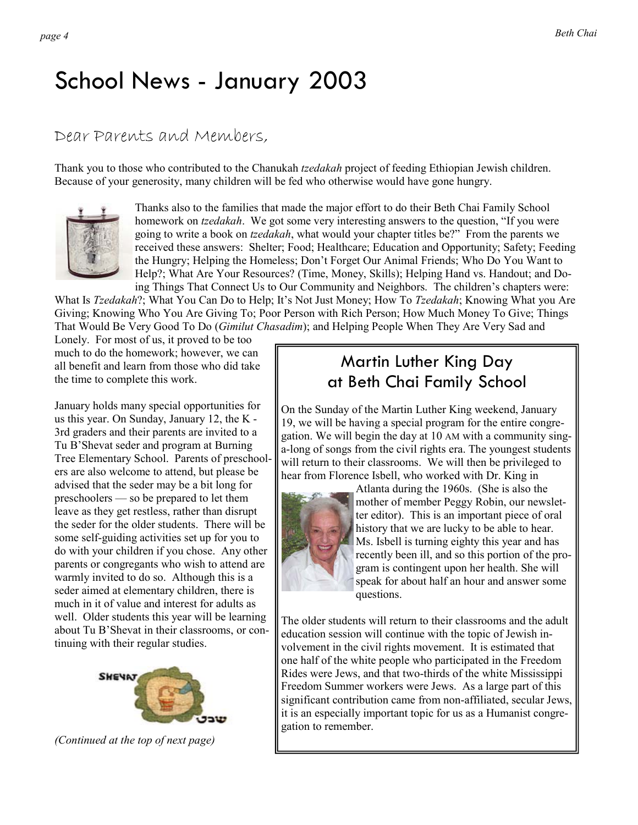# School News - January 2003

### Dear Parents and Members,

Thank you to those who contributed to the Chanukah *tzedakah* project of feeding Ethiopian Jewish children. Because of your generosity, many children will be fed who otherwise would have gone hungry.



Thanks also to the families that made the major effort to do their Beth Chai Family School homework on *tzedakah*. We got some very interesting answers to the question, "If you were going to write a book on *tzedakah*, what would your chapter titles be?" From the parents we received these answers: Shelter; Food; Healthcare; Education and Opportunity; Safety; Feeding the Hungry; Helping the Homeless; Don't Forget Our Animal Friends; Who Do You Want to Help?; What Are Your Resources? (Time, Money, Skills); Helping Hand vs. Handout; and Doing Things That Connect Us to Our Community and Neighbors. The children's chapters were:

What Is *Tzedakah*?; What You Can Do to Help; It's Not Just Money; How To *Tzedakah*; Knowing What you Are Giving; Knowing Who You Are Giving To; Poor Person with Rich Person; How Much Money To Give; Things That Would Be Very Good To Do (*Gimilut Chasadim*); and Helping People When They Are Very Sad and

Lonely. For most of us, it proved to be too much to do the homework; however, we can all benefit and learn from those who did take the time to complete this work.

January holds many special opportunities for us this year. On Sunday, January 12, the K - 3rd graders and their parents are invited to a Tu B'Shevat seder and program at Burning Tree Elementary School. Parents of preschoolers are also welcome to attend, but please be advised that the seder may be a bit long for preschoolers — so be prepared to let them leave as they get restless, rather than disrupt the seder for the older students. There will be some self-guiding activities set up for you to do with your children if you chose. Any other parents or congregants who wish to attend are warmly invited to do so. Although this is a seder aimed at elementary children, there is much in it of value and interest for adults as well. Older students this year will be learning about Tu B'Shevat in their classrooms, or continuing with their regular studies.



*(Continued at the top of next page)* 

### Martin Luther King Day at Beth Chai Family School

On the Sunday of the Martin Luther King weekend, January 19, we will be having a special program for the entire congregation. We will begin the day at 10 AM with a community singa-long of songs from the civil rights era. The youngest students will return to their classrooms. We will then be privileged to hear from Florence Isbell, who worked with Dr. King in



Atlanta during the 1960s. (She is also the mother of member Peggy Robin, our newsletter editor). This is an important piece of oral history that we are lucky to be able to hear. Ms. Isbell is turning eighty this year and has recently been ill, and so this portion of the program is contingent upon her health. She will speak for about half an hour and answer some questions.

The older students will return to their classrooms and the adult education session will continue with the topic of Jewish involvement in the civil rights movement. It is estimated that one half of the white people who participated in the Freedom Rides were Jews, and that two-thirds of the white Mississippi Freedom Summer workers were Jews. As a large part of this significant contribution came from non-affiliated, secular Jews, it is an especially important topic for us as a Humanist congregation to remember.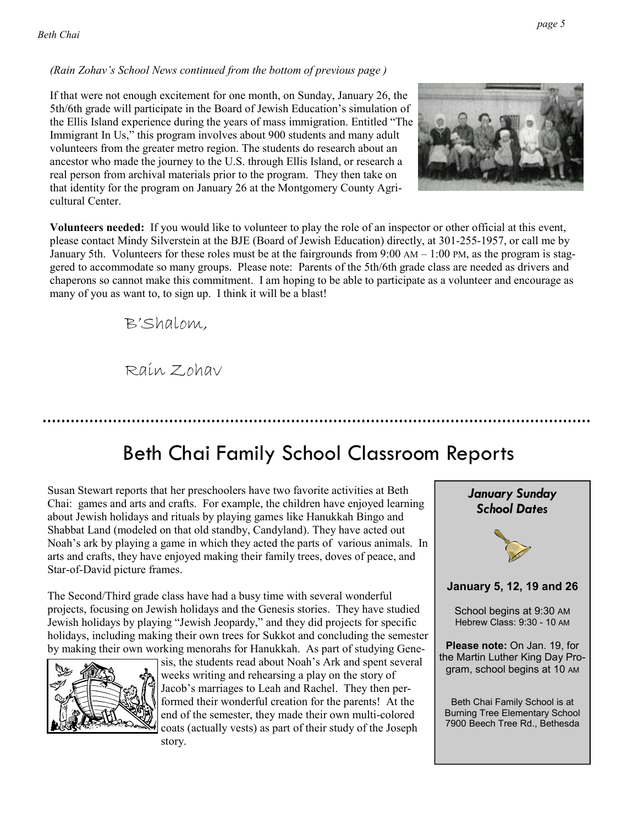#### *(Rain Zohav's School News continued from the bottom of previous page )*

If that were not enough excitement for one month, on Sunday, January 26, the 5th/6th grade will participate in the Board of Jewish Education's simulation of the Ellis Island experience during the years of mass immigration. Entitled "The Immigrant In Us," this program involves about 900 students and many adult volunteers from the greater metro region. The students do research about an ancestor who made the journey to the U.S. through Ellis Island, or research a real person from archival materials prior to the program. They then take on that identity for the program on January 26 at the Montgomery County Agricultural Center.



**Volunteers needed:** If you would like to volunteer to play the role of an inspector or other official at this event, please contact Mindy Silverstein at the BJE (Board of Jewish Education) directly, at 301-255-1957, or call me by January 5th. Volunteers for these roles must be at the fairgrounds from 9:00 AM – 1:00 PM, as the program is staggered to accommodate so many groups. Please note: Parents of the 5th/6th grade class are needed as drivers and chaperons so cannot make this commitment. I am hoping to be able to participate as a volunteer and encourage as many of you as want to, to sign up. I think it will be a blast!

B'Shalom,

Rain Zohav

## Beth Chai Family School Classroom Reports

Susan Stewart reports that her preschoolers have two favorite activities at Beth Chai: games and arts and crafts. For example, the children have enjoyed learning about Jewish holidays and rituals by playing games like Hanukkah Bingo and Shabbat Land (modeled on that old standby, Candyland). They have acted out Noah's ark by playing a game in which they acted the parts of various animals. In arts and crafts, they have enjoyed making their family trees, doves of peace, and Star-of-David picture frames.

The Second/Third grade class have had a busy time with several wonderful projects, focusing on Jewish holidays and the Genesis stories. They have studied Jewish holidays by playing "Jewish Jeopardy," and they did projects for specific holidays, including making their own trees for Sukkot and concluding the semester by making their own working menorahs for Hanukkah. As part of studying Gene-



sis, the students read about Noah's Ark and spent several weeks writing and rehearsing a play on the story of Jacob's marriages to Leah and Rachel. They then performed their wonderful creation for the parents! At the end of the semester, they made their own multi-colored coats (actually vests) as part of their study of the Joseph story.

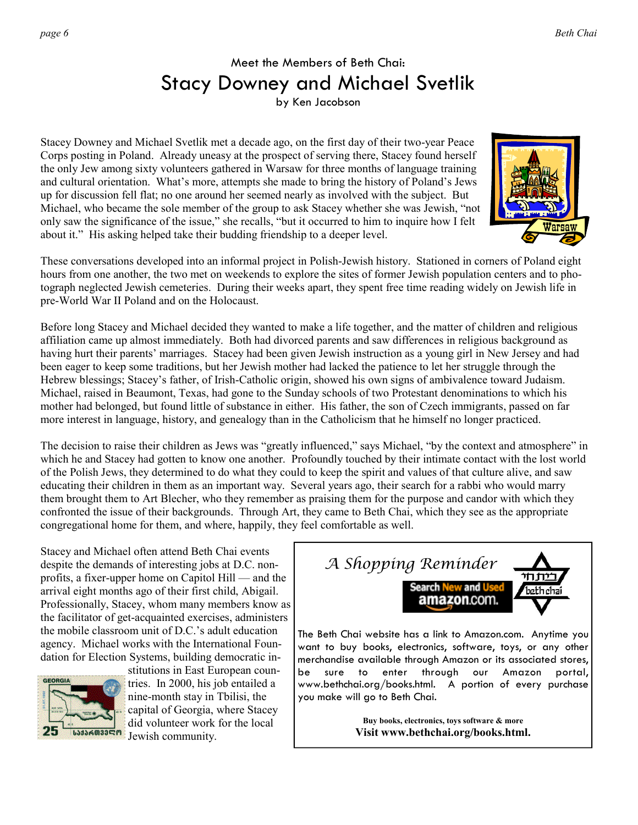### Meet the Members of Beth Chai: Stacy Downey and Michael Svetlik

by Ken Jacobson

Stacey Downey and Michael Svetlik met a decade ago, on the first day of their two-year Peace Corps posting in Poland. Already uneasy at the prospect of serving there, Stacey found herself the only Jew among sixty volunteers gathered in Warsaw for three months of language training and cultural orientation. What's more, attempts she made to bring the history of Poland's Jews up for discussion fell flat; no one around her seemed nearly as involved with the subject. But Michael, who became the sole member of the group to ask Stacey whether she was Jewish, "not only saw the significance of the issue," she recalls, "but it occurred to him to inquire how I felt about it." His asking helped take their budding friendship to a deeper level.



These conversations developed into an informal project in Polish-Jewish history. Stationed in corners of Poland eight hours from one another, the two met on weekends to explore the sites of former Jewish population centers and to photograph neglected Jewish cemeteries. During their weeks apart, they spent free time reading widely on Jewish life in pre-World War II Poland and on the Holocaust.

Before long Stacey and Michael decided they wanted to make a life together, and the matter of children and religious affiliation came up almost immediately. Both had divorced parents and saw differences in religious background as having hurt their parents' marriages. Stacey had been given Jewish instruction as a young girl in New Jersey and had been eager to keep some traditions, but her Jewish mother had lacked the patience to let her struggle through the Hebrew blessings; Stacey's father, of Irish-Catholic origin, showed his own signs of ambivalence toward Judaism. Michael, raised in Beaumont, Texas, had gone to the Sunday schools of two Protestant denominations to which his mother had belonged, but found little of substance in either. His father, the son of Czech immigrants, passed on far more interest in language, history, and genealogy than in the Catholicism that he himself no longer practiced.

The decision to raise their children as Jews was "greatly influenced," says Michael, "by the context and atmosphere" in which he and Stacey had gotten to know one another. Profoundly touched by their intimate contact with the lost world of the Polish Jews, they determined to do what they could to keep the spirit and values of that culture alive, and saw educating their children in them as an important way. Several years ago, their search for a rabbi who would marry them brought them to Art Blecher, who they remember as praising them for the purpose and candor with which they confronted the issue of their backgrounds. Through Art, they came to Beth Chai, which they see as the appropriate congregational home for them, and where, happily, they feel comfortable as well.

Stacey and Michael often attend Beth Chai events despite the demands of interesting jobs at D.C. nonprofits, a fixer-upper home on Capitol Hill — and the arrival eight months ago of their first child, Abigail. Professionally, Stacey, whom many members know as the facilitator of get-acquainted exercises, administers the mobile classroom unit of D.C.'s adult education agency. Michael works with the International Foundation for Election Systems, building democratic in-



stitutions in East European countries. In 2000, his job entailed a nine-month stay in Tbilisi, the capital of Georgia, where Stacey did volunteer work for the local Jewish community.



The Beth Chai website has a link to Amazon.com. Anytime you want to buy books, electronics, software, toys, or any other merchandise available through Amazon or its associated stores, be sure to enter through our Amazon portal, www.bethchai.org/books.html. A portion of every purchase you make will go to Beth Chai.

> **Buy books, electronics, toys software & more Visit www.bethchai.org/books.html.**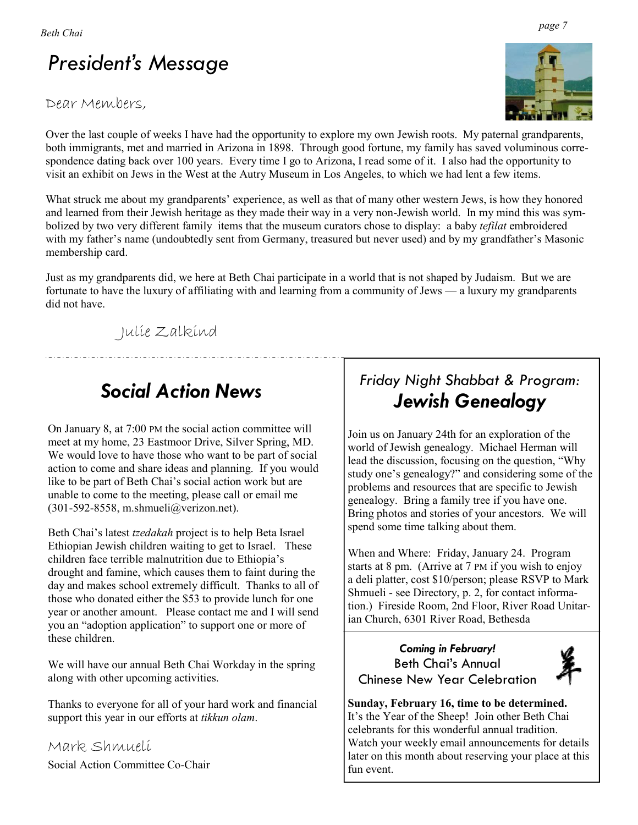# *President's Message*

#### Dear Members,

Over the last couple of weeks I have had the opportunity to explore my own Jewish roots. My paternal grandparents, both immigrants, met and married in Arizona in 1898. Through good fortune, my family has saved voluminous correspondence dating back over 100 years. Every time I go to Arizona, I read some of it. I also had the opportunity to visit an exhibit on Jews in the West at the Autry Museum in Los Angeles, to which we had lent a few items.

What struck me about my grandparents' experience, as well as that of many other western Jews, is how they honored and learned from their Jewish heritage as they made their way in a very non-Jewish world. In my mind this was symbolized by two very different family items that the museum curators chose to display: a baby *tefilat* embroidered with my father's name (undoubtedly sent from Germany, treasured but never used) and by my grandfather's Masonic membership card.

Just as my grandparents did, we here at Beth Chai participate in a world that is not shaped by Judaism. But we are fortunate to have the luxury of affiliating with and learning from a community of Jews — a luxury my grandparents did not have.

Julie Zalkind

### *Social Action News*

On January 8, at 7:00 PM the social action committee will meet at my home, 23 Eastmoor Drive, Silver Spring, MD. We would love to have those who want to be part of social action to come and share ideas and planning. If you would like to be part of Beth Chai's social action work but are unable to come to the meeting, please call or email me (301-592-8558, m.shmueli@verizon.net).

Beth Chai's latest *tzedakah* project is to help Beta Israel Ethiopian Jewish children waiting to get to Israel. These children face terrible malnutrition due to Ethiopia's drought and famine, which causes them to faint during the day and makes school extremely difficult. Thanks to all of those who donated either the \$53 to provide lunch for one year or another amount. Please contact me and I will send you an "adoption application" to support one or more of these children.

We will have our annual Beth Chai Workday in the spring along with other upcoming activities.

Thanks to everyone for all of your hard work and financial support this year in our efforts at *tikkun olam*.

Mark Shmueli Social Action Committee Co-Chair

### *Friday Night Shabbat & Program: Jewish Genealogy*

Join us on January 24th for an exploration of the world of Jewish genealogy. Michael Herman will lead the discussion, focusing on the question, "Why study one's genealogy?" and considering some of the problems and resources that are specific to Jewish genealogy. Bring a family tree if you have one. Bring photos and stories of your ancestors. We will spend some time talking about them.

When and Where: Friday, January 24. Program starts at 8 pm. (Arrive at 7 PM if you wish to enjoy a deli platter, cost \$10/person; please RSVP to Mark Shmueli - see Directory, p. 2, for contact information.) Fireside Room, 2nd Floor, River Road Unitarian Church, 6301 River Road, Bethesda

#### *Coming in February!* Beth Chai's Annual Chinese New Year Celebration



**Sunday, February 16, time to be determined.**  It's the Year of the Sheep! Join other Beth Chai celebrants for this wonderful annual tradition. Watch your weekly email announcements for details later on this month about reserving your place at this fun event.